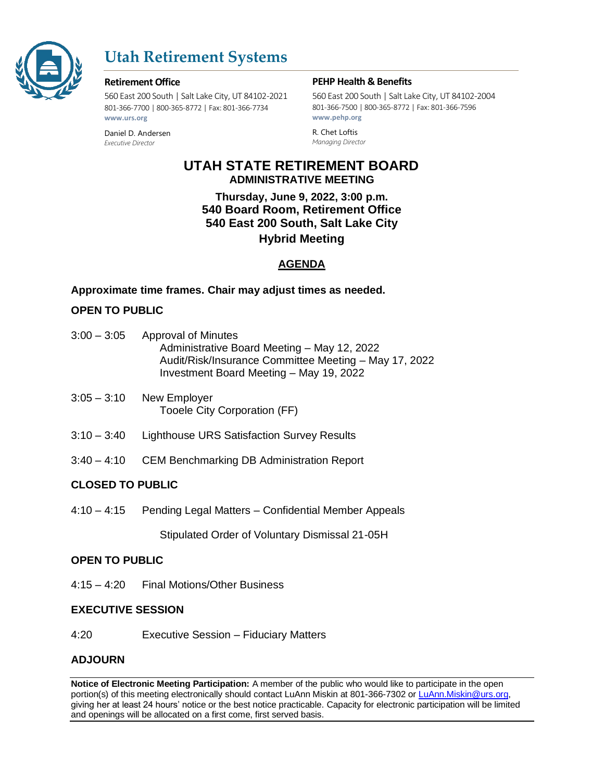

# **Utah Retirement Systems**

#### **Retirement Office**

560 East 200 South | Salt Lake City, UT 84102-2021 801-366-7700 | 800-365-8772 | Fax: 801-366-7734 **www.urs.org**

Daniel D. Andersen *Executive Director*

#### **PEHP Health & Benefits**

560 East 200 South | Salt Lake City, UT 84102-2004 801-366-7500 | 800-365-8772 | Fax: 801-366-7596 **www.pehp.org**

R. Chet Loftis *Managing Director*

# **UTAH STATE RETIREMENT BOARD ADMINISTRATIVE MEETING**

**Thursday, June 9, 2022, 3:00 p.m. 540 Board Room, Retirement Office 540 East 200 South, Salt Lake City Hybrid Meeting**

# **AGENDA**

# **Approximate time frames. Chair may adjust times as needed.**

# **OPEN TO PUBLIC**

| $3:00 - 3:05$ | <b>Approval of Minutes</b>                            |
|---------------|-------------------------------------------------------|
|               | Administrative Board Meeting - May 12, 2022           |
|               | Audit/Risk/Insurance Committee Meeting - May 17, 2022 |
|               | Investment Board Meeting - May 19, 2022               |
|               |                                                       |

- 3:05 3:10 New Employer Tooele City Corporation (FF)
- 3:10 3:40 Lighthouse URS Satisfaction Survey Results
- 3:40 4:10 CEM Benchmarking DB Administration Report

# **CLOSED TO PUBLIC**

4:10 – 4:15 Pending Legal Matters – Confidential Member Appeals

Stipulated Order of Voluntary Dismissal 21-05H

# **OPEN TO PUBLIC**

4:15 – 4:20 Final Motions/Other Business

# **EXECUTIVE SESSION**

4:20 Executive Session – Fiduciary Matters

# **ADJOURN**

**Notice of Electronic Meeting Participation:** A member of the public who would like to participate in the open portion(s) of this meeting electronically should contact LuAnn Miskin at 801-366-7302 or [LuAnn.Miskin@urs.org,](mailto:LuAnn.Miskin@urs.org) giving her at least 24 hours' notice or the best notice practicable. Capacity for electronic participation will be limited and openings will be allocated on a first come, first served basis.